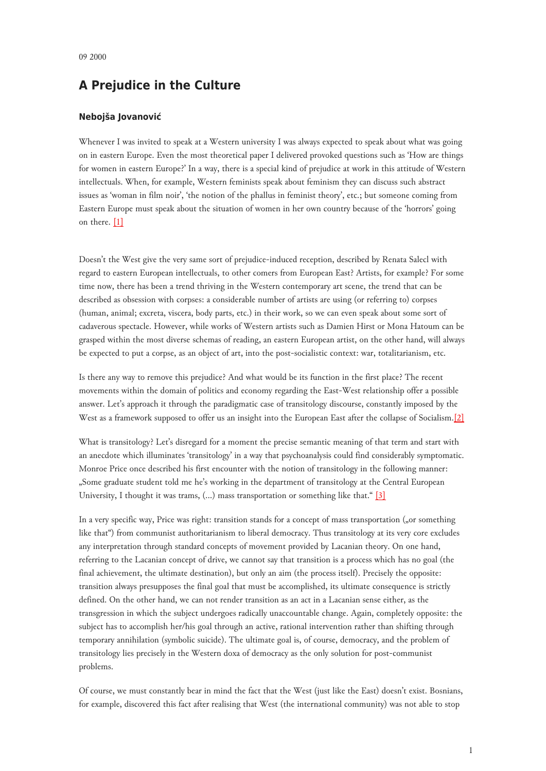## **A Prejudice in the Culture**

## **Nebojša Jovanović**

Whenever I was invited to speak at a Western university I was always expected to speak about what was going on in eastern Europe. Even the most theoretical paper I delivered provoked questions such as 'How are things for women in eastern Europe?' In a way, there is a special kind of prejudice at work in this attitude of Western intellectuals. When, for example, Western feminists speak about feminism they can discuss such abstract issues as 'woman in film noir', 'the notion of the phallus in feminist theory', etc.; but someone coming from Eastern Europe must speak about the situation of women in her own country because of the 'horrors' going on there. [\[1\]](#page-3-0)

Doesn't the West give the very same sort of prejudice-induced reception, described by Renata Salecl with regard to eastern European intellectuals, to other comers from European East? Artists, for example? For some time now, there has been a trend thriving in the Western contemporary art scene, the trend that can be described as obsession with corpses: a considerable number of artists are using (or referring to) corpses (human, animal; excreta, viscera, body parts, etc.) in their work, so we can even speak about some sort of cadaverous spectacle. However, while works of Western artists such as Damien Hirst or Mona Hatoum can be grasped within the most diverse schemas of reading, an eastern European artist, on the other hand, will always be expected to put a corpse, as an object of art, into the post-socialistic context: war, totalitarianism, etc.

Is there any way to remove this prejudice? And what would be its function in the first place? The recent movements within the domain of politics and economy regarding the East-West relationship offer a possible answer. Let's approach it through the paradigmatic case of transitology discourse, constantly imposed by the West as a framework supposed to offer us an insight into the European East after the collapse of Socialism.[\[2\]](#page-3-1)

What is transitology? Let's disregard for a moment the precise semantic meaning of that term and start with an anecdote which illuminates 'transitology' in a way that psychoanalysis could find considerably symptomatic. Monroe Price once described his first encounter with the notion of transitology in the following manner: "Some graduate student told me he's working in the department of transitology at the Central European University, I thought it was trams, (...) mass transportation or something like that." [\[3\]](#page-3-2)

In a very specific way, Price was right: transition stands for a concept of mass transportation ("or something like that") from communist authoritarianism to liberal democracy. Thus transitology at its very core excludes any interpretation through standard concepts of movement provided by Lacanian theory. On one hand, referring to the Lacanian concept of drive, we cannot say that transition is a process which has no goal (the final achievement, the ultimate destination), but only an aim (the process itself). Precisely the opposite: transition always presupposes the final goal that must be accomplished, its ultimate consequence is strictly defined. On the other hand, we can not render transition as an act in a Lacanian sense either, as the transgression in which the subject undergoes radically unaccountable change. Again, completely opposite: the subject has to accomplish her/his goal through an active, rational intervention rather than shifting through temporary annihilation (symbolic suicide). The ultimate goal is, of course, democracy, and the problem of transitology lies precisely in the Western doxa of democracy as the only solution for post-communist problems.

Of course, we must constantly bear in mind the fact that the West (just like the East) doesn't exist. Bosnians, for example, discovered this fact after realising that West (the international community) was not able to stop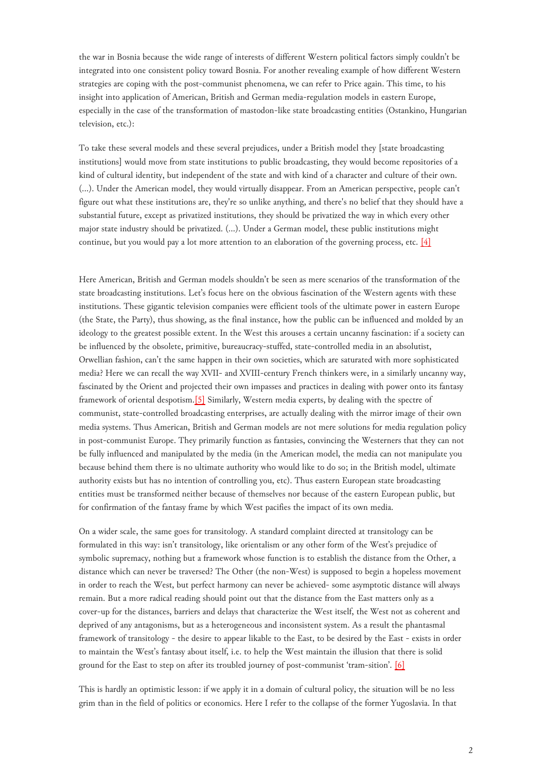the war in Bosnia because the wide range of interests of different Western political factors simply couldn't be integrated into one consistent policy toward Bosnia. For another revealing example of how different Western strategies are coping with the post-communist phenomena, we can refer to Price again. This time, to his insight into application of American, British and German media-regulation models in eastern Europe, especially in the case of the transformation of mastodon-like state broadcasting entities (Ostankino, Hungarian television, etc.):

To take these several models and these several prejudices, under a British model they [state broadcasting institutions] would move from state institutions to public broadcasting, they would become repositories of a kind of cultural identity, but independent of the state and with kind of a character and culture of their own. (…). Under the American model, they would virtually disappear. From an American perspective, people can't figure out what these institutions are, they're so unlike anything, and there's no belief that they should have a substantial future, except as privatized institutions, they should be privatized the way in which every other major state industry should be privatized. (…). Under a German model, these public institutions might continue, but you would pay a lot more attention to an elaboration of the governing process, etc. [\[4\]](#page-3-3)

Here American, British and German models shouldn't be seen as mere scenarios of the transformation of the state broadcasting institutions. Let's focus here on the obvious fascination of the Western agents with these institutions. These gigantic television companies were efficient tools of the ultimate power in eastern Europe (the State, the Party), thus showing, as the final instance, how the public can be influenced and molded by an ideology to the greatest possible extent. In the West this arouses a certain uncanny fascination: if a society can be influenced by the obsolete, primitive, bureaucracy-stuffed, state-controlled media in an absolutist, Orwellian fashion, can't the same happen in their own societies, which are saturated with more sophisticated media? Here we can recall the way XVII- and XVIII-century French thinkers were, in a similarly uncanny way, fascinated by the Orient and projected their own impasses and practices in dealing with power onto its fantasy framework of oriental despotism[.\[5\]](#page-3-4) Similarly, Western media experts, by dealing with the spectre of communist, state-controlled broadcasting enterprises, are actually dealing with the mirror image of their own media systems. Thus American, British and German models are not mere solutions for media regulation policy in post-communist Europe. They primarily function as fantasies, convincing the Westerners that they can not be fully influenced and manipulated by the media (in the American model, the media can not manipulate you because behind them there is no ultimate authority who would like to do so; in the British model, ultimate authority exists but has no intention of controlling you, etc). Thus eastern European state broadcasting entities must be transformed neither because of themselves nor because of the eastern European public, but for confirmation of the fantasy frame by which West pacifies the impact of its own media.

On a wider scale, the same goes for transitology. A standard complaint directed at transitology can be formulated in this way: isn't transitology, like orientalism or any other form of the West's prejudice of symbolic supremacy, nothing but a framework whose function is to establish the distance from the Other, a distance which can never be traversed? The Other (the non-West) is supposed to begin a hopeless movement in order to reach the West, but perfect harmony can never be achieved- some asymptotic distance will always remain. But a more radical reading should point out that the distance from the East matters only as a cover-up for the distances, barriers and delays that characterize the West itself, the West not as coherent and deprived of any antagonisms, but as a heterogeneous and inconsistent system. As a result the phantasmal framework of transitology - the desire to appear likable to the East, to be desired by the East - exists in order to maintain the West's fantasy about itself, i.e. to help the West maintain the illusion that there is solid ground for the East to step on after its troubled journey of post-communist 'tram-sition'. [\[6\]](#page-3-5)

This is hardly an optimistic lesson: if we apply it in a domain of cultural policy, the situation will be no less grim than in the field of politics or economics. Here I refer to the collapse of the former Yugoslavia. In that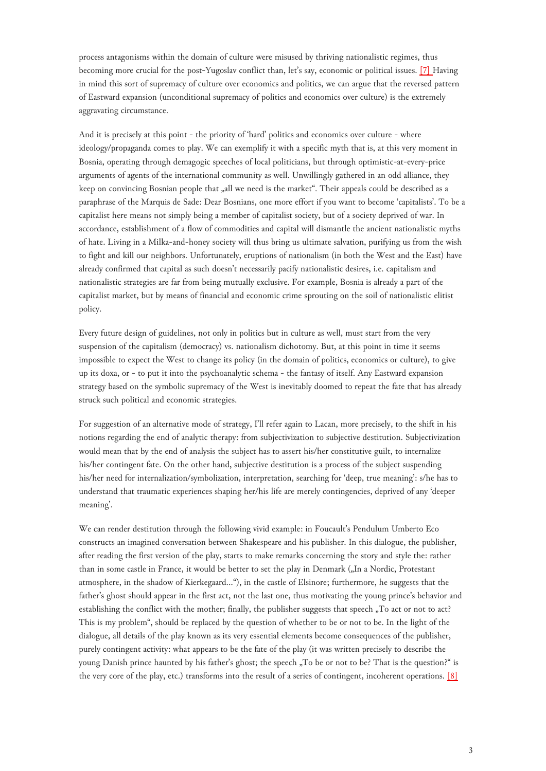process antagonisms within the domain of culture were misused by thriving nationalistic regimes, thus becoming more crucial for the post-Yugoslav conflict than, let's say, economic or political issues. [\[7\] H](#page-3-6)aving in mind this sort of supremacy of culture over economics and politics, we can argue that the reversed pattern of Eastward expansion (unconditional supremacy of politics and economics over culture) is the extremely aggravating circumstance.

And it is precisely at this point - the priority of 'hard' politics and economics over culture - where ideology/propaganda comes to play. We can exemplify it with a specific myth that is, at this very moment in Bosnia, operating through demagogic speeches of local politicians, but through optimistic-at-every-price arguments of agents of the international community as well. Unwillingly gathered in an odd alliance, they keep on convincing Bosnian people that "all we need is the market". Their appeals could be described as a paraphrase of the Marquis de Sade: Dear Bosnians, one more effort if you want to become 'capitalists'. To be a capitalist here means not simply being a member of capitalist society, but of a society deprived of war. In accordance, establishment of a flow of commodities and capital will dismantle the ancient nationalistic myths of hate. Living in a Milka-and-honey society will thus bring us ultimate salvation, purifying us from the wish to fight and kill our neighbors. Unfortunately, eruptions of nationalism (in both the West and the East) have already confirmed that capital as such doesn't necessarily pacify nationalistic desires, i.e. capitalism and nationalistic strategies are far from being mutually exclusive. For example, Bosnia is already a part of the capitalist market, but by means of financial and economic crime sprouting on the soil of nationalistic elitist policy.

Every future design of guidelines, not only in politics but in culture as well, must start from the very suspension of the capitalism (democracy) vs. nationalism dichotomy. But, at this point in time it seems impossible to expect the West to change its policy (in the domain of politics, economics or culture), to give up its doxa, or - to put it into the psychoanalytic schema - the fantasy of itself. Any Eastward expansion strategy based on the symbolic supremacy of the West is inevitably doomed to repeat the fate that has already struck such political and economic strategies.

For suggestion of an alternative mode of strategy, I'll refer again to Lacan, more precisely, to the shift in his notions regarding the end of analytic therapy: from subjectivization to subjective destitution. Subjectivization would mean that by the end of analysis the subject has to assert his/her constitutive guilt, to internalize his/her contingent fate. On the other hand, subjective destitution is a process of the subject suspending his/her need for internalization/symbolization, interpretation, searching for 'deep, true meaning': s/he has to understand that traumatic experiences shaping her/his life are merely contingencies, deprived of any 'deeper meaning'.

We can render destitution through the following vivid example: in Foucault's Pendulum Umberto Eco constructs an imagined conversation between Shakespeare and his publisher. In this dialogue, the publisher, after reading the first version of the play, starts to make remarks concerning the story and style the: rather than in some castle in France, it would be better to set the play in Denmark ("In a Nordic, Protestant atmosphere, in the shadow of Kierkegaard…"), in the castle of Elsinore; furthermore, he suggests that the father's ghost should appear in the first act, not the last one, thus motivating the young prince's behavior and establishing the conflict with the mother; finally, the publisher suggests that speech "To act or not to act? This is my problem", should be replaced by the question of whether to be or not to be. In the light of the dialogue, all details of the play known as its very essential elements become consequences of the publisher, purely contingent activity: what appears to be the fate of the play (it was written precisely to describe the young Danish prince haunted by his father's ghost; the speech "To be or not to be? That is the question?" is the very core of the play, etc.) transforms into the result of a series of contingent, incoherent operations. [\[8\]](#page-3-7)